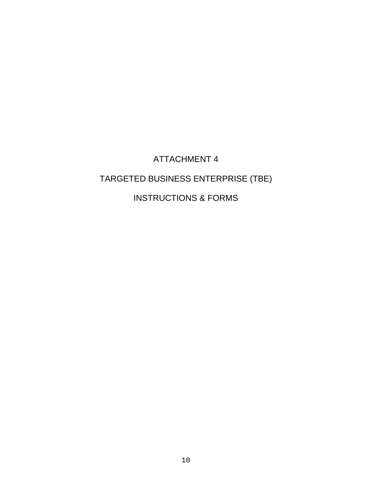## ATTACHMENT 4

## TARGETED BUSINESS ENTERPRISE (TBE)

### INSTRUCTIONS & FORMS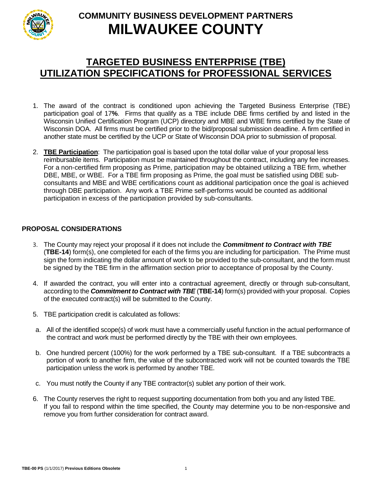

## **TARGETED BUSINESS ENTERPRISE (TBE) UTILIZATION SPECIFICATIONS for PROFESSIONAL SERVICES**

- 1. The award of the contract is conditioned upon achieving the Targeted Business Enterprise (TBE) participation goal of 17**%**. Firms that qualify as a TBE include DBE firms certified by and listed in the Wisconsin Unified Certification Program (UCP) directory and MBE and WBE firms certified by the State of Wisconsin DOA. All firms must be certified prior to the bid/proposal submission deadline. A firm certified in another state must be certified by the UCP or State of Wisconsin DOA prior to submission of proposal.
- 2. **TBE Participation**: The participation goal is based upon the total dollar value of your proposal less reimbursable items. Participation must be maintained throughout the contract, including any fee increases. For a non-certified firm proposing as Prime, participation may be obtained utilizing a TBE firm, whether DBE, MBE, or WBE. For a TBE firm proposing as Prime, the goal must be satisfied using DBE subconsultants and MBE and WBE certifications count as additional participation once the goal is achieved through DBE participation. Any work a TBE Prime self-performs would be counted as additional participation in excess of the participation provided by sub-consultants.

### **PROPOSAL CONSIDERATIONS**

- 3. The County may reject your proposal if it does not include the *Commitment to Contract with TBE* (**TBE-14**) form(s), one completed for each of the firms you are including for participation. The Prime must sign the form indicating the dollar amount of work to be provided to the sub-consultant, and the form must be signed by the TBE firm in the affirmation section prior to acceptance of proposal by the County.
- 4. If awarded the contract, you will enter into a contractual agreement, directly or through sub-consultant, according to the *Commitment to Contract with TBE* (**TBE-14**) form(s) provided with your proposal. Copies of the executed contract(s) will be submitted to the County.
- 5. TBE participation credit is calculated as follows:
- a. All of the identified scope(s) of work must have a commercially useful function in the actual performance of the contract and work must be performed directly by the TBE with their own employees.
- b. One hundred percent (100%) for the work performed by a TBE sub-consultant. If a TBE subcontracts a portion of work to another firm, the value of the subcontracted work will not be counted towards the TBE participation unless the work is performed by another TBE.
- c. You must notify the County if any TBE contractor(s) sublet any portion of their work.
- 6. The County reserves the right to request supporting documentation from both you and any listed TBE. If you fail to respond within the time specified, the County may determine you to be non-responsive and remove you from further consideration for contract award.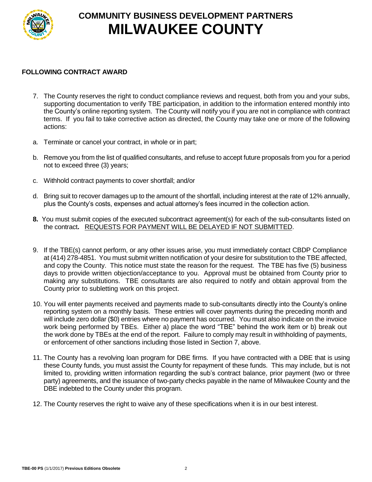

### **FOLLOWING CONTRACT AWARD**

- 7. The County reserves the right to conduct compliance reviews and request, both from you and your subs, supporting documentation to verify TBE participation, in addition to the information entered monthly into the County's online reporting system. The County will notify you if you are not in compliance with contract terms. If you fail to take corrective action as directed, the County may take one or more of the following actions:
- a. Terminate or cancel your contract, in whole or in part;
- b. Remove you from the list of qualified consultants, and refuse to accept future proposals from you for a period not to exceed three (3) years;
- c. Withhold contract payments to cover shortfall; and/or
- d. Bring suit to recover damages up to the amount of the shortfall, including interest at the rate of 12% annually, plus the County's costs, expenses and actual attorney's fees incurred in the collection action.
- **8.** You must submit copies of the executed subcontract agreement(s) for each of the sub-consultants listed on the contract**.** REQUESTS FOR PAYMENT WILL BE DELAYED IF NOT SUBMITTED.
- 9. If the TBE(s) cannot perform, or any other issues arise, you must immediately contact CBDP Compliance at (414) 278-4851. You must submit written notification of your desire for substitution to the TBE affected, and copy the County. This notice must state the reason for the request. The TBE has five (5) business days to provide written objection/acceptance to you. Approval must be obtained from County prior to making any substitutions. TBE consultants are also required to notify and obtain approval from the County prior to subletting work on this project.
- 10. You will enter payments received and payments made to sub-consultants directly into the County's online reporting system on a monthly basis. These entries will cover payments during the preceding month and will include zero dollar (\$0) entries where no payment has occurred. You must also indicate on the invoice work being performed by TBEs. Either a) place the word "TBE" behind the work item or b) break out the work done by TBEs at the end of the report. Failure to comply may result in withholding of payments, or enforcement of other sanctions including those listed in Section 7, above.
- 11. The County has a revolving loan program for DBE firms. If you have contracted with a DBE that is using these County funds, you must assist the County for repayment of these funds. This may include, but is not limited to, providing written information regarding the sub's contract balance, prior payment (two or three party) agreements, and the issuance of two-party checks payable in the name of Milwaukee County and the DBE indebted to the County under this program.
- 12. The County reserves the right to waive any of these specifications when it is in our best interest.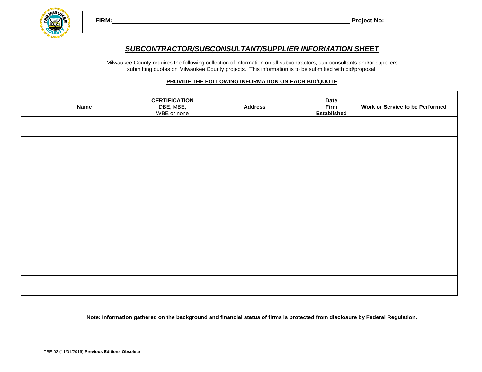**FIRM: Project No: \_\_\_\_\_\_\_\_\_\_\_\_\_\_\_\_\_\_\_\_\_\_**



Milwaukee County requires the following collection of information on all subcontractors, sub-consultants and/or suppliers submitting quotes on Milwaukee County projects. This information is to be submitted with bid/proposal.

#### **PROVIDE THE FOLLOWING INFORMATION ON EACH BID/QUOTE**

| <b>Name</b> | <b>CERTIFICATION</b><br>DBE, MBE,<br>WBE or none | <b>Address</b> | <b>Date</b><br><b>Firm</b><br><b>Established</b> | <b>Work or Service to be Performed</b> |
|-------------|--------------------------------------------------|----------------|--------------------------------------------------|----------------------------------------|
|             |                                                  |                |                                                  |                                        |
|             |                                                  |                |                                                  |                                        |
|             |                                                  |                |                                                  |                                        |
|             |                                                  |                |                                                  |                                        |
|             |                                                  |                |                                                  |                                        |
|             |                                                  |                |                                                  |                                        |
|             |                                                  |                |                                                  |                                        |
|             |                                                  |                |                                                  |                                        |
|             |                                                  |                |                                                  |                                        |

**Note: Information gathered on the background and financial status of firms is protected from disclosure by Federal Regulation.**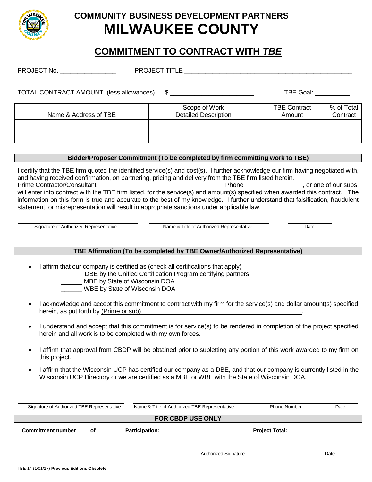

## **COMMITMENT TO CONTRACT WITH** *TBE*

| TOTAL CONTRACT AMOUNT (less allowances)      |                               |                                      |
|----------------------------------------------|-------------------------------|--------------------------------------|
| Scope of Work<br><b>Detailed Description</b> | <b>TBE Contract</b><br>Amount | % of Total<br>Contract               |
|                                              |                               | TBE Goal: TBE Goal:<br>$\frac{1}{2}$ |

### **Bidder/Proposer Commitment (To be completed by firm committing work to TBE)**

I certify that the TBE firm quoted the identified service(s) and cost(s). I further acknowledge our firm having negotiated with, and having received confirmation, on partnering, pricing and delivery from the TBE firm listed herein. Prime Contractor/Consultant The Contractor Consultant Phone Phone Phone Phone of our subs, will enter into contract with the TBE firm listed, for the service(s) and amount(s) specified when awarded this contract. The information on this form is true and accurate to the best of my knowledge. I further understand that falsification, fraudulent statement, or misrepresentation will result in appropriate sanctions under applicable law.

Signature of Authorized Representative Name & Title of Authorized Representative Date

### **TBE Affirmation (To be completed by TBE Owner/Authorized Representative)**

I affirm that our company is certified as (check all certifications that apply)

DBE by the Unified Certification Program certifying partners

MBE by State of Wisconsin DOA

WBE by State of Wisconsin DOA

- I acknowledge and accept this commitment to contract with my firm for the service(s) and dollar amount(s) specified herein, as put forth by (Prime or sub)
- I understand and accept that this commitment is for service(s) to be rendered in completion of the project specified herein and all work is to be completed with my own forces.
- I affirm that approval from CBDP will be obtained prior to subletting any portion of this work awarded to my firm on this project.
- I affirm that the Wisconsin UCP has certified our company as a DBE, and that our company is currently listed in the Wisconsin UCP Directory or we are certified as a MBE or WBE with the State of Wisconsin DOA.

| Signature of Authorized TBE Representative | Name & Title of Authorized TBE Representative | <b>Phone Number</b>   | Date |  |  |  |  |
|--------------------------------------------|-----------------------------------------------|-----------------------|------|--|--|--|--|
| <b>FOR CBDP USE ONLY</b>                   |                                               |                       |      |  |  |  |  |
| <b>Commitment number</b><br>οf             | <b>Participation:</b>                         | <b>Project Total:</b> |      |  |  |  |  |

\_\_\_\_ \_\_\_\_\_\_\_\_ Signature Date